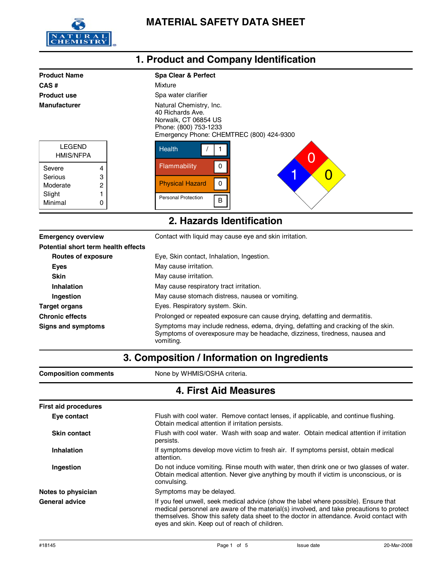

| <b>Product Name</b>               |   | <b>Spa Clear &amp; Perfect</b>                                                                                                           |
|-----------------------------------|---|------------------------------------------------------------------------------------------------------------------------------------------|
| CAS#                              |   | Mixture                                                                                                                                  |
| <b>Product use</b>                |   | Spa water clarifier                                                                                                                      |
| <b>Manufacturer</b>               |   | Natural Chemistry, Inc.<br>40 Richards Ave.<br>Norwalk, CT 06854 US<br>Phone: (800) 753-1233<br>Emergency Phone: CHEMTREC (800) 424-9300 |
| <b>LEGEND</b><br><b>HMIS/NFPA</b> |   | <b>Health</b><br>O                                                                                                                       |
| Severe                            | 4 | Flammability                                                                                                                             |
| Serious                           | 3 | O                                                                                                                                        |
| Moderate                          | 2 | <b>Physical Hazard</b>                                                                                                                   |
| Slight                            |   | <b>Personal Protection</b>                                                                                                               |
| Minimal                           | 0 | B                                                                                                                                        |
| 2. Hazards Identification         |   |                                                                                                                                          |

| <b>Emergency overview</b>           | Contact with liquid may cause eye and skin irritation.                                                                                                                      |  |
|-------------------------------------|-----------------------------------------------------------------------------------------------------------------------------------------------------------------------------|--|
| Potential short term health effects |                                                                                                                                                                             |  |
| Routes of exposure                  | Eye, Skin contact, Inhalation, Ingestion.                                                                                                                                   |  |
| Eyes                                | May cause irritation.                                                                                                                                                       |  |
| <b>Skin</b>                         | May cause irritation.                                                                                                                                                       |  |
| Inhalation                          | May cause respiratory tract irritation.                                                                                                                                     |  |
| Ingestion                           | May cause stomach distress, nausea or vomiting.                                                                                                                             |  |
| Target organs                       | Eyes. Respiratory system. Skin.                                                                                                                                             |  |
| <b>Chronic effects</b>              | Prolonged or repeated exposure can cause drying, defatting and dermatitis.                                                                                                  |  |
| Signs and symptoms                  | Symptoms may include redness, edema, drying, defatting and cracking of the skin.<br>Symptoms of overexposure may be headache, dizziness, tiredness, nausea and<br>vomiting. |  |

**3. Composition / Information on Ingredients**

| <b>Composition comments</b> | None by WHMIS/OSHA criteria.                                                                                                                                                                                                                                                                                                 |  |
|-----------------------------|------------------------------------------------------------------------------------------------------------------------------------------------------------------------------------------------------------------------------------------------------------------------------------------------------------------------------|--|
| 4. First Aid Measures       |                                                                                                                                                                                                                                                                                                                              |  |
| <b>First aid procedures</b> |                                                                                                                                                                                                                                                                                                                              |  |
| Eye contact                 | Flush with cool water. Remove contact lenses, if applicable, and continue flushing.<br>Obtain medical attention if irritation persists.                                                                                                                                                                                      |  |
| <b>Skin contact</b>         | Flush with cool water. Wash with soap and water. Obtain medical attention if irritation<br>persists.                                                                                                                                                                                                                         |  |
| Inhalation                  | If symptoms develop move victim to fresh air. If symptoms persist, obtain medical<br>attention.                                                                                                                                                                                                                              |  |
| Ingestion                   | Do not induce vomiting. Rinse mouth with water, then drink one or two glasses of water.<br>Obtain medical attention. Never give anything by mouth if victim is unconscious, or is<br>convulsing.                                                                                                                             |  |
| Notes to physician          | Symptoms may be delayed.                                                                                                                                                                                                                                                                                                     |  |
| <b>General advice</b>       | If you feel unwell, seek medical advice (show the label where possible). Ensure that<br>medical personnel are aware of the material(s) involved, and take precautions to protect<br>themselves. Show this safety data sheet to the doctor in attendance. Avoid contact with<br>eyes and skin. Keep out of reach of children. |  |

### **1. Product and Company Identification**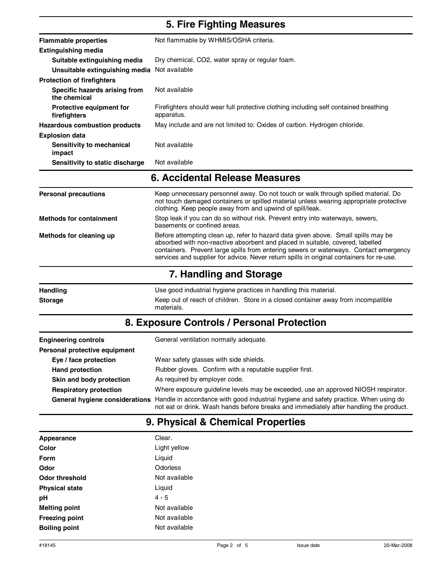### **5. Fire Fighting Measures**

| <b>Flammable properties</b>                     | Not flammable by WHMIS/OSHA criteria.                                                              |  |
|-------------------------------------------------|----------------------------------------------------------------------------------------------------|--|
| Extinguishing media                             |                                                                                                    |  |
| Suitable extinguishing media                    | Dry chemical, CO2, water spray or regular foam.                                                    |  |
| Unsuitable extinguishing media Not available    |                                                                                                    |  |
| <b>Protection of firefighters</b>               |                                                                                                    |  |
| Specific hazards arising from<br>the chemical   | Not available                                                                                      |  |
| <b>Protective equipment for</b><br>firefighters | Firefighters should wear full protective clothing including self contained breathing<br>apparatus. |  |
| <b>Hazardous combustion products</b>            | May include and are not limited to: Oxides of carbon. Hydrogen chloride.                           |  |
| <b>Explosion data</b>                           |                                                                                                    |  |
| Sensitivity to mechanical<br>impact             | Not available                                                                                      |  |
| Sensitivity to static discharge                 | Not available                                                                                      |  |

#### **6. Accidental Release Measures**

| <b>Personal precautions</b>    | Keep unnecessary personnel away. Do not touch or walk through spilled material. Do<br>not touch damaged containers or spilled material unless wearing appropriate protective<br>clothing. Keep people away from and upwind of spill/leak.                                                                                                                |  |
|--------------------------------|----------------------------------------------------------------------------------------------------------------------------------------------------------------------------------------------------------------------------------------------------------------------------------------------------------------------------------------------------------|--|
| <b>Methods for containment</b> | Stop leak if you can do so without risk. Prevent entry into waterways, sewers,<br>basements or confined areas.                                                                                                                                                                                                                                           |  |
| Methods for cleaning up        | Before attempting clean up, refer to hazard data given above. Small spills may be<br>absorbed with non-reactive absorbent and placed in suitable, covered, labelled<br>containers. Prevent large spills from entering sewers or waterways. Contact emergency<br>services and supplier for advice. Never return spills in original containers for re-use. |  |
| 7. Handling and Storage        |                                                                                                                                                                                                                                                                                                                                                          |  |

| <b>Handling</b> | Use good industrial hygiene practices in handling this material.                                |  |
|-----------------|-------------------------------------------------------------------------------------------------|--|
| <b>Storage</b>  | Keep out of reach of children. Store in a closed container away from incompatible<br>materials. |  |

# **8. Exposure Controls / Personal Protection**

| <b>Engineering controls</b>   | General ventilation normally adequate.                                                                                                                                                                        |  |
|-------------------------------|---------------------------------------------------------------------------------------------------------------------------------------------------------------------------------------------------------------|--|
| Personal protective equipment |                                                                                                                                                                                                               |  |
| Eye / face protection         | Wear safety glasses with side shields.                                                                                                                                                                        |  |
| <b>Hand protection</b>        | Rubber gloves. Confirm with a reputable supplier first.                                                                                                                                                       |  |
| Skin and body protection      | As required by employer code.                                                                                                                                                                                 |  |
| <b>Respiratory protection</b> | Where exposure guideline levels may be exceeded, use an approved NIOSH respirator.                                                                                                                            |  |
|                               | General hygiene considerations Handle in accordance with good industrial hygiene and safety practice. When using do<br>not eat or drink. Wash hands before breaks and immediately after handling the product. |  |

#### **9. Physical & Chemical Properties**

| Appearance            | Clear.        |
|-----------------------|---------------|
| Color                 | Light yellow  |
| Form                  | Liquid        |
| Odor                  | Odorless      |
| Odor threshold        | Not available |
| <b>Physical state</b> | Liguid        |
| рH                    | $4 - 5$       |
| <b>Melting point</b>  | Not available |
| <b>Freezing point</b> | Not available |
| <b>Boiling point</b>  | Not available |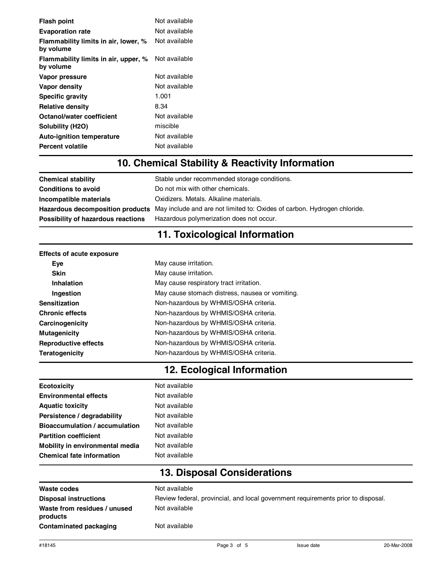| <b>Flash point</b>                                | Not available |
|---------------------------------------------------|---------------|
| <b>Evaporation rate</b>                           | Not available |
| Flammability limits in air, lower, %<br>by volume | Not available |
| Flammability limits in air, upper, %<br>by volume | Not available |
| Vapor pressure                                    | Not available |
| Vapor density                                     | Not available |
| <b>Specific gravity</b>                           | 1.001         |
| <b>Relative density</b>                           | 8.34          |
| Octanol/water coefficient                         | Not available |
| Solubility (H <sub>2O</sub> )                     | miscible      |
| <b>Auto-ignition temperature</b>                  | Not available |
| Percent volatile                                  | Not available |

## **10. Chemical Stability & Reactivity Information**

| <b>Chemical stability</b>          | Stable under recommended storage conditions.                                                              |  |
|------------------------------------|-----------------------------------------------------------------------------------------------------------|--|
| <b>Conditions to avoid</b>         | Do not mix with other chemicals.                                                                          |  |
| Incompatible materials             | Oxidizers. Metals. Alkaline materials.                                                                    |  |
|                                    | Hazardous decomposition products May include and are not limited to: Oxides of carbon. Hydrogen chloride. |  |
| Possibility of hazardous reactions | Hazardous polymerization does not occur.                                                                  |  |

## **11. Toxicological Information**

| <b>Effects of acute exposure</b> |                                                 |  |  |
|----------------------------------|-------------------------------------------------|--|--|
| Eve                              | May cause irritation.                           |  |  |
| <b>Skin</b>                      | May cause irritation.                           |  |  |
| Inhalation                       | May cause respiratory tract irritation.         |  |  |
| Ingestion                        | May cause stomach distress, nausea or vomiting. |  |  |
| <b>Sensitization</b>             | Non-hazardous by WHMIS/OSHA criteria.           |  |  |
| <b>Chronic effects</b>           | Non-hazardous by WHMIS/OSHA criteria.           |  |  |
| Carcinogenicity                  | Non-hazardous by WHMIS/OSHA criteria.           |  |  |
| <b>Mutagenicity</b>              | Non-hazardous by WHMIS/OSHA criteria.           |  |  |
| <b>Reproductive effects</b>      | Non-hazardous by WHMIS/OSHA criteria.           |  |  |
| Teratogenicity                   | Non-hazardous by WHMIS/OSHA criteria.           |  |  |

# **12. Ecological Information**

| <b>Ecotoxicity</b>                    | Not available |
|---------------------------------------|---------------|
| <b>Environmental effects</b>          | Not available |
| <b>Aquatic toxicity</b>               | Not available |
| Persistence / degradability           | Not available |
| <b>Bioaccumulation / accumulation</b> | Not available |
| <b>Partition coefficient</b>          | Not available |
| Mobility in environmental media       | Not available |
| <b>Chemical fate information</b>      | Not available |
|                                       |               |

# **13. Disposal Considerations**

| Waste codes                              | Not available                                                                    |
|------------------------------------------|----------------------------------------------------------------------------------|
| <b>Disposal instructions</b>             | Review federal, provincial, and local government requirements prior to disposal. |
| Waste from residues / unused<br>products | Not available                                                                    |
| Contaminated packaging                   | Not available                                                                    |